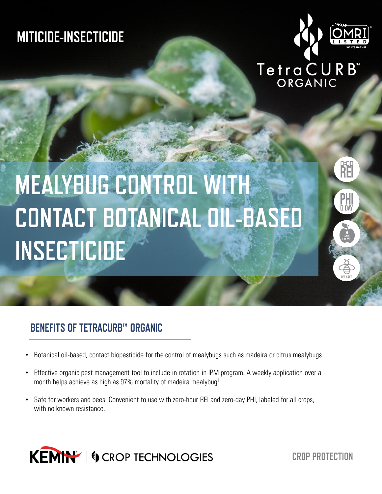## **MITICIDE-INSECTICIDE**



o:or<br>RE

**PHI**<br>D DAY

# TetraCURB<sup>"</sup>

## **MEALYBUG CONTROL WITH CONTACT BOTANICAL OIL-BASED INSECTICIDE**

## **BENEFITS OF TETRACURB™ ORGANIC**

- Botanical oil-based, contact biopesticide for the control of mealybugs such as madeira or citrus mealybugs.
- Effective organic pest management tool to include in rotation in IPM program. A weekly application over a month helps achieve as high as 97% mortality of madeira mealybug<sup>1</sup>.
- Safe for workers and bees. Convenient to use with zero-hour REI and zero-day PHI, labeled for all crops, with no known resistance.



**CROP PROTECTION**